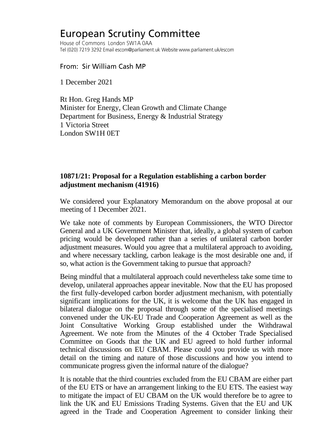## **European Scrutiny Committee**

House of Commons London SW1A 0AA Tel (020) 7219 3292 Email escom@parliament.uk Website www.parliament.uk/escom

From: Sir William Cash MP

1 December 2021

Rt Hon. Greg Hands MP Minister for Energy, Clean Growth and Climate Change Department for Business, Energy & Industrial Strategy 1 Victoria Street London SW1H 0ET

## **10871/21: Proposal for a Regulation establishing a carbon border adjustment mechanism (41916)**

We considered your Explanatory Memorandum on the above proposal at our meeting of 1 December 2021.

We take note of comments by European Commissioners, the WTO Director General and a UK Government Minister that, ideally, a global system of carbon pricing would be developed rather than a series of unilateral carbon border adjustment measures. Would you agree that a multilateral approach to avoiding, and where necessary tackling, carbon leakage is the most desirable one and, if so, what action is the Government taking to pursue that approach?

Being mindful that a multilateral approach could nevertheless take some time to develop, unilateral approaches appear inevitable. Now that the EU has proposed the first fully-developed carbon border adjustment mechanism, with potentially significant implications for the UK, it is welcome that the UK has engaged in bilateral dialogue on the proposal through some of the specialised meetings convened under the UK-EU Trade and Cooperation Agreement as well as the Joint Consultative Working Group established under the Withdrawal Agreement. We note from the Minutes of the 4 October Trade Specialised Committee on Goods that the UK and EU agreed to hold further informal technical discussions on EU CBAM. Please could you provide us with more detail on the timing and nature of those discussions and how you intend to communicate progress given the informal nature of the dialogue?

It is notable that the third countries excluded from the EU CBAM are either part of the EU ETS or have an arrangement linking to the EU ETS. The easiest way to mitigate the impact of EU CBAM on the UK would therefore be to agree to link the UK and EU Emissions Trading Systems. Given that the EU and UK agreed in the Trade and Cooperation Agreement to consider linking their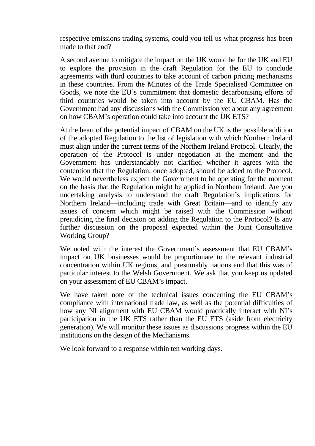respective emissions trading systems, could you tell us what progress has been made to that end?

A second avenue to mitigate the impact on the UK would be for the UK and EU to explore the provision in the draft Regulation for the EU to conclude agreements with third countries to take account of carbon pricing mechanisms in these countries. From the Minutes of the Trade Specialised Committee on Goods, we note the EU's commitment that domestic decarbonising efforts of third countries would be taken into account by the EU CBAM. Has the Government had any discussions with the Commission yet about any agreement on how CBAM's operation could take into account the UK ETS?

At the heart of the potential impact of CBAM on the UK is the possible addition of the adopted Regulation to the list of legislation with which Northern Ireland must align under the current terms of the Northern Ireland Protocol. Clearly, the operation of the Protocol is under negotiation at the moment and the Government has understandably not clarified whether it agrees with the contention that the Regulation, once adopted, should be added to the Protocol. We would nevertheless expect the Government to be operating for the moment on the basis that the Regulation might be applied in Northern Ireland. Are you undertaking analysis to understand the draft Regulation's implications for Northern Ireland—including trade with Great Britain—and to identify any issues of concern which might be raised with the Commission without prejudicing the final decision on adding the Regulation to the Protocol? Is any further discussion on the proposal expected within the Joint Consultative Working Group?

We noted with the interest the Government's assessment that EU CBAM's impact on UK businesses would be proportionate to the relevant industrial concentration within UK regions, and presumably nations and that this was of particular interest to the Welsh Government. We ask that you keep us updated on your assessment of EU CBAM's impact.

We have taken note of the technical issues concerning the EU CBAM's compliance with international trade law, as well as the potential difficulties of how any NI alignment with EU CBAM would practically interact with NI's participation in the UK ETS rather than the EU ETS (aside from electricity generation). We will monitor these issues as discussions progress within the EU institutions on the design of the Mechanisms.

We look forward to a response within ten working days.